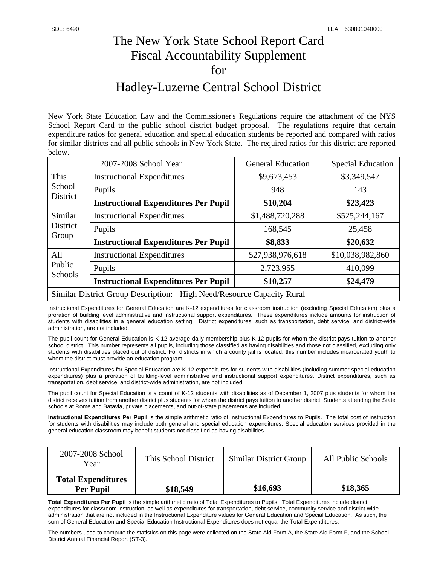## The New York State School Report Card Fiscal Accountability Supplement for

## Hadley-Luzerne Central School District

New York State Education Law and the Commissioner's Regulations require the attachment of the NYS School Report Card to the public school district budget proposal. The regulations require that certain expenditure ratios for general education and special education students be reported and compared with ratios for similar districts and all public schools in New York State. The required ratios for this district are reported below.

| 2007-2008 School Year                                                 |                                             | <b>General Education</b> | <b>Special Education</b> |  |  |
|-----------------------------------------------------------------------|---------------------------------------------|--------------------------|--------------------------|--|--|
| This<br>School<br>District                                            | <b>Instructional Expenditures</b>           | \$9,673,453              | \$3,349,547              |  |  |
|                                                                       | Pupils                                      | 948                      | 143                      |  |  |
|                                                                       | <b>Instructional Expenditures Per Pupil</b> | \$10,204                 | \$23,423                 |  |  |
| Similar<br>District<br>Group                                          | <b>Instructional Expenditures</b>           | \$1,488,720,288          | \$525,244,167            |  |  |
|                                                                       | Pupils                                      | 168,545                  | 25,458                   |  |  |
|                                                                       | <b>Instructional Expenditures Per Pupil</b> | \$8,833                  | \$20,632                 |  |  |
| All<br>Public<br>Schools                                              | <b>Instructional Expenditures</b>           | \$27,938,976,618         | \$10,038,982,860         |  |  |
|                                                                       | Pupils                                      | 2,723,955                | 410,099                  |  |  |
|                                                                       | <b>Instructional Expenditures Per Pupil</b> | \$10,257                 | \$24,479                 |  |  |
| Similar District Group Description: High Need/Resource Capacity Rural |                                             |                          |                          |  |  |

Instructional Expenditures for General Education are K-12 expenditures for classroom instruction (excluding Special Education) plus a proration of building level administrative and instructional support expenditures. These expenditures include amounts for instruction of students with disabilities in a general education setting. District expenditures, such as transportation, debt service, and district-wide administration, are not included.

The pupil count for General Education is K-12 average daily membership plus K-12 pupils for whom the district pays tuition to another school district. This number represents all pupils, including those classified as having disabilities and those not classified, excluding only students with disabilities placed out of district. For districts in which a county jail is located, this number includes incarcerated youth to whom the district must provide an education program.

Instructional Expenditures for Special Education are K-12 expenditures for students with disabilities (including summer special education expenditures) plus a proration of building-level administrative and instructional support expenditures. District expenditures, such as transportation, debt service, and district-wide administration, are not included.

The pupil count for Special Education is a count of K-12 students with disabilities as of December 1, 2007 plus students for whom the district receives tuition from another district plus students for whom the district pays tuition to another district. Students attending the State schools at Rome and Batavia, private placements, and out-of-state placements are included.

**Instructional Expenditures Per Pupil** is the simple arithmetic ratio of Instructional Expenditures to Pupils. The total cost of instruction for students with disabilities may include both general and special education expenditures. Special education services provided in the general education classroom may benefit students not classified as having disabilities.

| 2007-2008 School<br>Year                      | This School District | Similar District Group | All Public Schools |
|-----------------------------------------------|----------------------|------------------------|--------------------|
| <b>Total Expenditures</b><br><b>Per Pupil</b> | \$18,549             | \$16,693               | \$18,365           |

**Total Expenditures Per Pupil** is the simple arithmetic ratio of Total Expenditures to Pupils. Total Expenditures include district expenditures for classroom instruction, as well as expenditures for transportation, debt service, community service and district-wide administration that are not included in the Instructional Expenditure values for General Education and Special Education. As such, the sum of General Education and Special Education Instructional Expenditures does not equal the Total Expenditures.

The numbers used to compute the statistics on this page were collected on the State Aid Form A, the State Aid Form F, and the School District Annual Financial Report (ST-3).